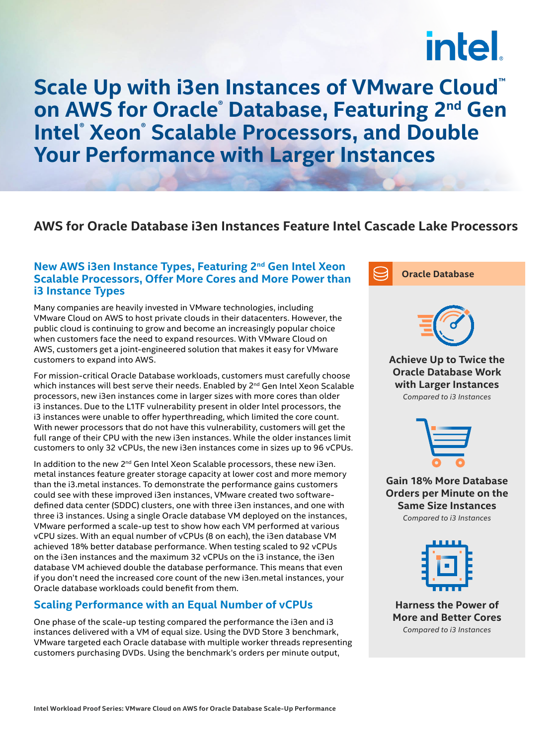# intel.

**Scale Up with i3en Instances of VMware Cloud™ on AWS for Oracle® Database, Featuring 2nd Gen Intel® Xeon® Scalable Processors, and Double Your Performance with Larger Instances**

## **AWS for Oracle Database i3en Instances Feature Intel Cascade Lake Processors**

### **New AWS i3en Instance Types, Featuring 2nd Gen Intel Xeon Scalable Processors, Offer More Cores and More Power than i3 Instance Types**

Many companies are heavily invested in VMware technologies, including VMware Cloud on AWS to host private clouds in their datacenters. However, the public cloud is continuing to grow and become an increasingly popular choice when customers face the need to expand resources. With VMware Cloud on AWS, customers get a joint-engineered solution that makes it easy for VMware customers to expand into AWS.

For mission-critical Oracle Database workloads, customers must carefully choose which instances will best serve their needs. Enabled by 2<sup>nd</sup> Gen Intel Xeon Scalable processors, new i3en instances come in larger sizes with more cores than older i3 instances. Due to the L1TF vulnerability present in older Intel processors, the i3 instances were unable to offer hyperthreading, which limited the core count. With newer processors that do not have this vulnerability, customers will get the full range of their CPU with the new i3en instances. While the older instances limit customers to only 32 vCPUs, the new i3en instances come in sizes up to 96 vCPUs.

In addition to the new  $2^{nd}$  Gen Intel Xeon Scalable processors, these new i3en. metal instances feature greater storage capacity at lower cost and more memory than the i3.metal instances. To demonstrate the performance gains customers could see with these improved i3en instances, VMware created two softwaredefined data center (SDDC) clusters, one with three i3en instances, and one with three i3 instances. Using a single Oracle database VM deployed on the instances, VMware performed a scale-up test to show how each VM performed at various vCPU sizes. With an equal number of vCPUs (8 on each), the i3en database VM achieved 18% better database performance. When testing scaled to 92 vCPUs on the i3en instances and the maximum 32 vCPUs on the i3 instance, the i3en database VM achieved double the database performance. This means that even if you don't need the increased core count of the new i3en.metal instances, your Oracle database workloads could benefit from them.

## **Scaling Performance with an Equal Number of vCPUs**

One phase of the scale-up testing compared the performance the i3en and i3 instances delivered with a VM of equal size. Using the DVD Store 3 benchmark, VMware targeted each Oracle database with multiple worker threads representing customers purchasing DVDs. Using the benchmark's orders per minute output,





**Achieve Up to Twice the Oracle Database Work with Larger Instances** *Compared to i3 Instances*



**Gain 18% More Database Orders per Minute on the Same Size Instances**  *Compared to i3 Instances*



**Harness the Power of More and Better Cores**  *Compared to i3 Instances*